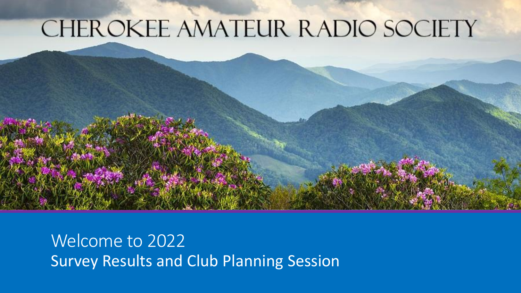#### CHEROKEE AMATEUR RADIO SOCIETY

Welcome to 2022 Survey Results and Club Planning Session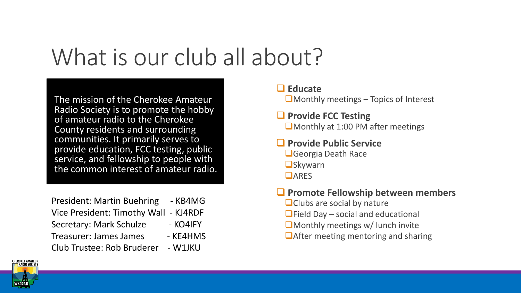#### What is our club all about?

The mission of the Cherokee Amateur Radio Society is to promote the hobby of amateur radio to the Cherokee County residents and surrounding communities. It primarily serves to provide education, FCC testing, public service, and fellowship to people with the common interest of amateur radio.

President: Martin Buehring - KB4MG Vice President: Timothy Wall - KJ4RDF Secretary: Mark Schulze - KO4IFY Treasurer: James James - KE4HMS Club Trustee: Rob Bruderer - W1JKU

#### ❑ **Educate**

 $\square$  Monthly meetings – Topics of Interest

#### ❑ **Provide FCC Testing** ❑Monthly at 1:00 PM after meetings

#### ❑ **Provide Public Service**

❑Georgia Death Race ❑Skywarn ❑ARES

#### ❑ **Promote Fellowship between members**

- ■Clubs are social by nature
- $\Box$ Field Day social and educational
- ❑Monthly meetings w/ lunch invite
- ❑After meeting mentoring and sharing

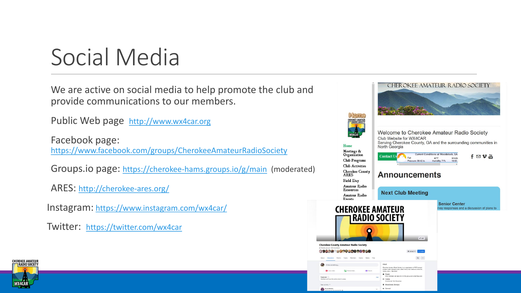### Social Media

We are active on social media to help promote the club and provide communications to our members.

Public Web page [http://www.wx4car.org](http://www.wx4car.org/)

Facebook page: <https://www.facebook.com/groups/CherokeeAmateurRadioSociety>

Groups.io page: <https://cherokee-hams.groups.io/g/main> (moderated)

ARES: <http://cherokee-ares.org/>

Instagram: <https://www.instagram.com/wx4car/>

Twitter: <https://twitter.com/wx4car>



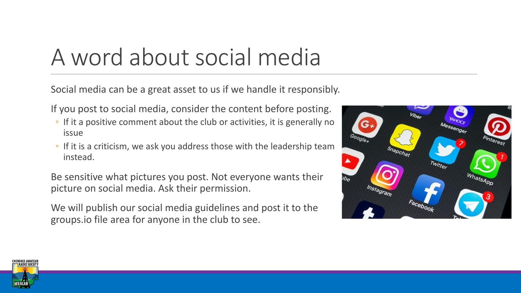# A word about social media

Social media can be a great asset to us if we handle it responsibly.

If you post to social media, consider the content before posting.

- If it a positive comment about the club or activities, it is generally no issue
- If it is a criticism, we ask you address those with the leadership team instead.

Be sensitive what pictures you post. Not everyone wants their picture on social media. Ask their permission.

We will publish our social media guidelines and post it to the groups.io file area for anyone in the club to see.



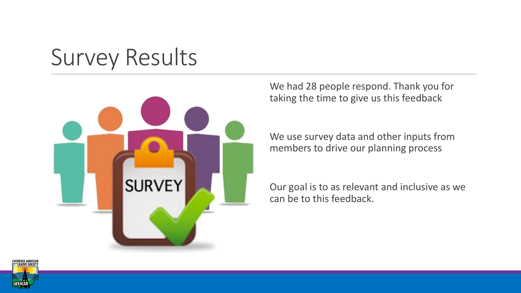## Survey Results



We had 28 people respond. Thank you for taking the time to give us this feedback

We use survey data and other inputs from members to drive our planning process

Our goal is to as relevant and inclusive as we can be to this feedback.

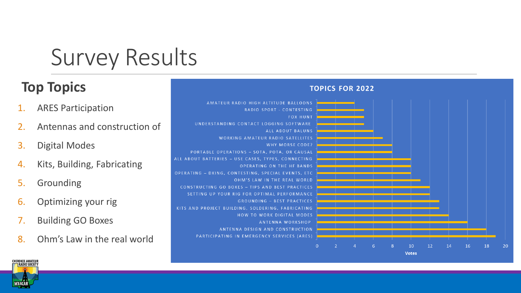Survey Results

#### **Top Topics**

- 1. ARES Participation
- 2. Antennas and construction of
- 3. Digital Modes
- 4. Kits, Building, Fabricating
- 5. Grounding
- 6. Optimizing your rig
- 7. Building GO Boxes
- 8. Ohm's Law in the real world



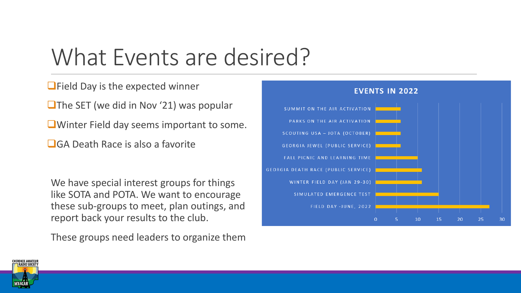## What Events are desired?

■Field Day is the expected winner

■The SET (we did in Nov '21) was popular

❑Winter Field day seems important to some.

❑GA Death Race is also a favorite

We have special interest groups for things like SOTA and POTA. We want to encourage these sub-groups to meet, plan outings, and report back your results to the club.

These groups need leaders to organize them



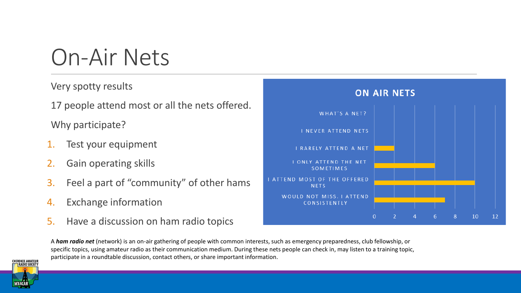#### On-Air Nets

Very spotty results

17 people attend most or all the nets offered.

Why participate?

- Test your equipment
- 2. Gain operating skills
- 3. Feel a part of "community" of other hams
- 4. Exchange information
- 5. Have a discussion on ham radio topics





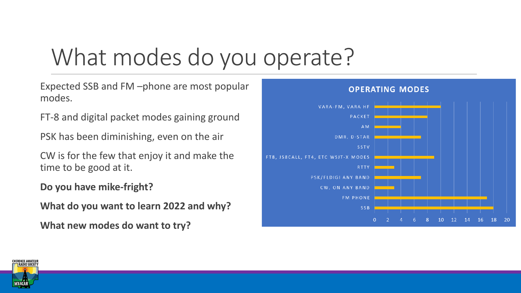# What modes do you operate?

Expected SSB and FM –phone are most popular modes.

FT-8 and digital packet modes gaining ground

PSK has been diminishing, even on the air

CW is for the few that enjoy it and make the time to be good at it.

**Do you have mike-fright?** 

**What do you want to learn 2022 and why?**

**What new modes do want to try?**



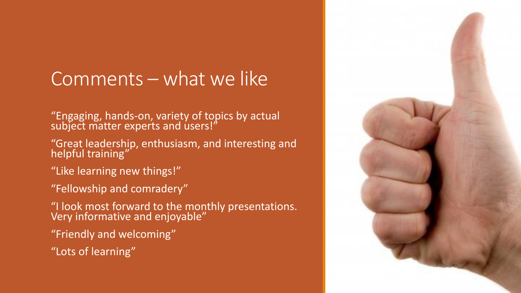#### Comments – what we like

"Engaging, hands-on, variety of topics by actual subject matter experts and users!"

"Great leadership, enthusiasm, and interesting and helpful training"

- "Like learning new things!"
- "Fellowship and comradery"

"I look most forward to the monthly presentations. Very informative and enjoyable"

- "Friendly and welcoming"
- "Lots of learning"

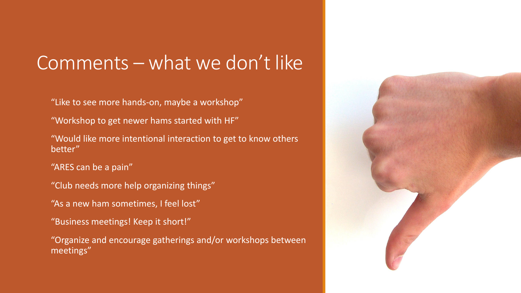#### Comments – what we don't like

"Like to see more hands-on, maybe a workshop"

"Workshop to get newer hams started with HF"

"Would like more intentional interaction to get to know others better"

"ARES can be a pain"

"Club needs more help organizing things"

"As a new ham sometimes, I feel lost"

"Business meetings! Keep it short!"

"Organize and encourage gatherings and/or workshops between meetings"

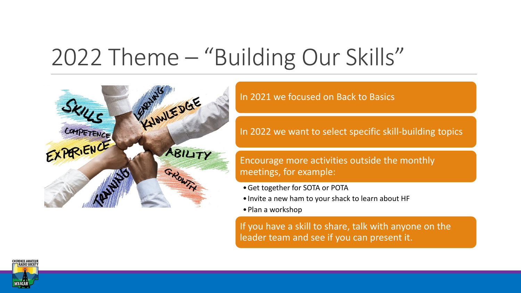### 2022 Theme – "Building Our Skills"



In 2021 we focused on Back to Basics

In 2022 we want to select specific skill-building topics

#### Encourage more activities outside the monthly meetings, for example:

- •Get together for SOTA or POTA
- •Invite a new ham to your shack to learn about HF
- •Plan a workshop

If you have a skill to share, talk with anyone on the leader team and see if you can present it.

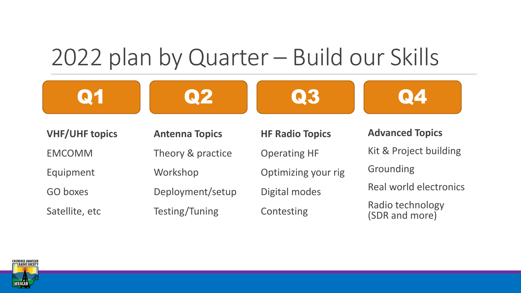### 2022 plan by Quarter – Build our Skills

Q1 Q2 Q3 Q4

**VHF/UHF topics** EMCOMM

Equipment

GO boxes

Satellite, etc

**Antenna Topics** Theory & practice Workshop Deployment/setup Testing/Tuning

**HF Radio Topics** Operating HF Optimizing your rig Digital modes **Contesting** 

**Advanced Topics** Kit & Project building Grounding Real world electronics Radio technology (SDR and more)

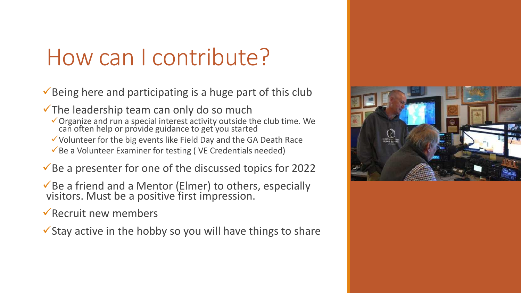### How can I contribute?

 $\checkmark$  Being here and participating is a huge part of this club

 $\checkmark$  The leadership team can only do so much

- ✓Organize and run a special interest activity outside the club time. We can often help or provide guidance to get you started
- $\checkmark$  Volunteer for the big events like Field Day and the GA Death Race
- $\checkmark$  Be a Volunteer Examiner for testing (VE Credentials needed)

 $\checkmark$  Be a presenter for one of the discussed topics for 2022

✓Be a friend and a Mentor (Elmer) to others, especially visitors. Must be a positive first impression.

 $\sqrt{\sqrt{2}}$  Recruit new members

 $\checkmark$  Stay active in the hobby so you will have things to share

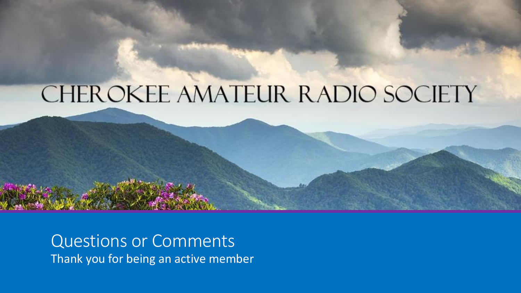#### CHEROKEE AMATEUR RADIO SOCIETY

Questions or Comments Thank you for being an active member